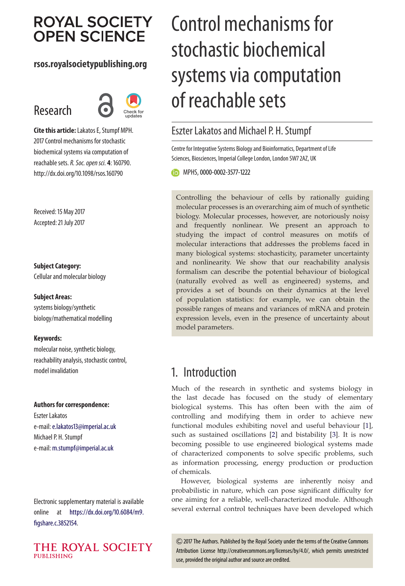## **ROYAL SOCIETY OPEN SCIENCE**

#### **rsos.royalsocietypublishing.org**

## Research



**Cite this article:**Lakatos E, Stumpf MPH. 2017 Control mechanisms for stochastic biochemical systems via computation of reachable sets.R. Soc. open sci. **4**: 160790. http://dx.doi.org/10.1098/rsos.160790

Received: 15 May 2017 Accepted: 21 July 2017

#### **Subject Category:**

Cellular and molecular biology

#### **Subject Areas:**

systems biology/synthetic biology/mathematical modelling

#### **Keywords:**

molecular noise, synthetic biology, reachability analysis, stochastic control, model invalidation

#### **Authors for correspondence:**

Eszter Lakatos e-mail:[e.lakatos13@imperial.ac.uk](mailto:e.lakatos13@imperial.ac.uk) Michael P. H. Stumpf e-mail: [m.stumpf@imperial.ac.uk](mailto:m.stumpf@imperial.ac.uk)

Electronic supplementary material is available online at [https://dx.doi.org/10.6084/m9.](https://dx.doi.org/10.6084/m9.figshare.c.3852154) [figshare.c.3852154.](https://dx.doi.org/10.6084/m9.figshare.c.3852154)



# Control mechanisms for stochastic biochemical systems via computation of reachable sets

#### Eszter Lakatos and Michael P. H. Stumpf

Centre for Integrative Systems Biology and Bioinformatics, Department of Life Sciences, Biosciences, Imperial College London, London SW7 2AZ, UK

**MPHS, [0000-0002-3577-1222](http://orcid.org/0000-0002-3577-1222)** 

Controlling the behaviour of cells by rationally guiding molecular processes is an overarching aim of much of synthetic biology. Molecular processes, however, are notoriously noisy and frequently nonlinear. We present an approach to studying the impact of control measures on motifs of molecular interactions that addresses the problems faced in many biological systems: stochasticity, parameter uncertainty and nonlinearity. We show that our reachability analysis formalism can describe the potential behaviour of biological (naturally evolved as well as engineered) systems, and provides a set of bounds on their dynamics at the level of population statistics: for example, we can obtain the possible ranges of means and variances of mRNA and protein expression levels, even in the presence of uncertainty about model parameters.

## 1. Introduction

Much of the research in synthetic and systems biology in the last decade has focused on the study of elementary biological systems. This has often been with the aim of controlling and modifying them in order to achieve new functional modules exhibiting novel and useful behaviour [\[1\]](#page-12-0), such as sustained oscillations [\[2\]](#page-12-1) and bistability [\[3\]](#page-12-2). It is now becoming possible to use engineered biological systems made of characterized components to solve specific problems, such as information processing, energy production or production of chemicals.

However, biological systems are inherently noisy and probabilistic in nature, which can pose significant difficulty for one aiming for a reliable, well-characterized module. Although several external control techniques have been developed which

2017 The Authors. Published by the Royal Society under the terms of the Creative Commons Attribution License http://creativecommons.org/licenses/by/4.0/, which permits unrestricted use, provided the original author and source are credited.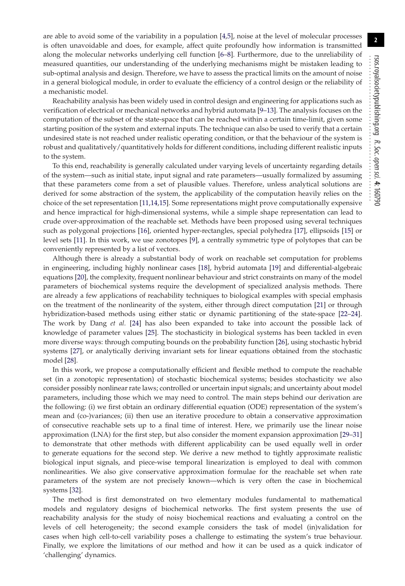are able to avoid some of the variability in a population [\[4,](#page-12-3)[5\]](#page-12-4), noise at the level of molecular processes is often unavoidable and does, for example, affect quite profoundly how information is transmitted along the molecular networks underlying cell function [\[6–](#page-12-5)[8\]](#page-12-6). Furthermore, due to the unreliability of measured quantities, our understanding of the underlying mechanisms might be mistaken leading to sub-optimal analysis and design. Therefore, we have to assess the practical limits on the amount of noise in a general biological module, in order to evaluate the efficiency of a control design or the reliability of a mechanistic model.

Reachability analysis has been widely used in control design and engineering for applications such as verification of electrical or mechanical networks and hybrid automata [\[9](#page-12-7)[–13\]](#page-12-8). The analysis focuses on the computation of the subset of the state-space that can be reached within a certain time-limit, given some starting position of the system and external inputs. The technique can also be used to verify that a certain undesired state is not reached under realistic operating condition, or that the behaviour of the system is robust and qualitatively/quantitatively holds for different conditions, including different realistic inputs to the system.

To this end, reachability is generally calculated under varying levels of uncertainty regarding details of the system—such as initial state, input signal and rate parameters—usually formalized by assuming that these parameters come from a set of plausible values. Therefore, unless analytical solutions are derived for some abstraction of the system, the applicability of the computation heavily relies on the choice of the set representation [\[11](#page-12-9)[,14](#page-12-10)[,15\]](#page-12-11). Some representations might prove computationally expensive and hence impractical for high-dimensional systems, while a simple shape representation can lead to crude over-approximation of the reachable set. Methods have been proposed using several techniques such as polygonal projections [\[16\]](#page-12-12), oriented hyper-rectangles, special polyhedra [\[17\]](#page-12-13), ellipsoids [\[15\]](#page-12-11) or level sets [\[11\]](#page-12-9). In this work, we use zonotopes [\[9\]](#page-12-7), a centrally symmetric type of polytopes that can be conveniently represented by a list of vectors.

Although there is already a substantial body of work on reachable set computation for problems in engineering, including highly nonlinear cases [\[18\]](#page-12-14), hybrid automata [\[19\]](#page-12-15) and differential-algebraic equations [\[20\]](#page-12-16), the complexity, frequent nonlinear behaviour and strict constraints on many of the model parameters of biochemical systems require the development of specialized analysis methods. There are already a few applications of reachability techniques to biological examples with special emphasis on the treatment of the nonlinearity of the system, either through direct computation [\[21\]](#page-12-17) or through hybridization-based methods using either static or dynamic partitioning of the state-space [\[22–](#page-13-0)[24\]](#page-13-1). The work by Dang *et al.* [\[24\]](#page-13-1) has also been expanded to take into account the possible lack of knowledge of parameter values [\[25\]](#page-13-2). The stochasticity in biological systems has been tackled in even more diverse ways: through computing bounds on the probability function [\[26\]](#page-13-3), using stochastic hybrid systems [\[27\]](#page-13-4), or analytically deriving invariant sets for linear equations obtained from the stochastic model [\[28\]](#page-13-5).

In this work, we propose a computationally efficient and flexible method to compute the reachable set (in a zonotopic representation) of stochastic biochemical systems; besides stochasticity we also consider possibly nonlinear rate laws; controlled or uncertain input signals; and uncertainty about model parameters, including those which we may need to control. The main steps behind our derivation are the following: (i) we first obtain an ordinary differential equation (ODE) representation of the system's mean and (co-)variances; (ii) then use an iterative procedure to obtain a conservative approximation of consecutive reachable sets up to a final time of interest. Here, we primarily use the linear noise approximation (LNA) for the first step, but also consider the moment expansion approximation [\[29](#page-13-6)[–31\]](#page-13-7) to demonstrate that other methods with different applicability can be used equally well in order to generate equations for the second step. We derive a new method to tightly approximate realistic biological input signals, and piece-wise temporal linearization is employed to deal with common nonlinearities. We also give conservative approximation formulae for the reachable set when rate parameters of the system are not precisely known—which is very often the case in biochemical systems [\[32\]](#page-13-8).

The method is first demonstrated on two elementary modules fundamental to mathematical models and regulatory designs of biochemical networks. The first system presents the use of reachability analysis for the study of noisy biochemical reactions and evaluating a control on the levels of cell heterogeneity; the second example considers the task of model (in)validation for cases when high cell-to-cell variability poses a challenge to estimating the system's true behaviour. Finally, we explore the limitations of our method and how it can be used as a quick indicator of 'challenging' dynamics.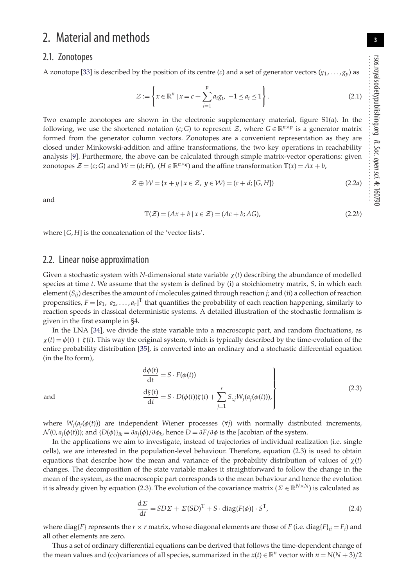## 2. Material and methods

#### 2.1. Zonotopes

A zonotope [\[33\]](#page-13-9) is described by the position of its centre (*c*) and a set of generator vectors  $(g_1, \ldots, g_p)$  as

$$
\mathcal{Z} := \left\{ x \in \mathbb{R}^n \mid x = c + \sum_{i=1}^p a_i g_i, \ -1 \le a_i \le 1 \right\}.
$$
 (2.1)

Two example zonotopes are shown in the electronic supplementary material, figure S1(a). In the following, we use the shortened notation (*c*; *G*) to represent  $Z$ , where  $G \in \mathbb{R}^{n \times p}$  is a generator matrix formed from the generator column vectors. Zonotopes are a convenient representation as they are closed under Minkowski-addition and affine transformations, the two key operations in reachability analysis [\[9\]](#page-12-7). Furthermore, the above can be calculated through simple matrix-vector operations: given zonotopes  $\mathcal{Z} = (c; G)$  and  $\mathcal{W} = (d; H)$ ,  $(H \in \mathbb{R}^{n \times q})$  and the affine transformation  $\mathbb{T}(x) = Ax + b$ ,

$$
\mathcal{Z} \oplus \mathcal{W} = \{x + y \mid x \in \mathcal{Z}, y \in \mathcal{W}\} = (c + d; [G, H])
$$
\n
$$
(2.2a)
$$

and

$$
\mathbb{T}(\mathcal{Z}) = \{Ax + b \mid x \in \mathcal{Z}\} = (Ac + b; AG),\tag{2.2b}
$$

where [*G*, *H*] is the concatenation of the 'vector lists'.

#### 2.2. Linear noise approximation

Given a stochastic system with *N*-dimensional state variable  $\chi(t)$  describing the abundance of modelled species at time *t*. We assume that the system is defined by (i) a stoichiometry matrix, *S*, in which each element (*Sij*) describes the amount of *i* molecules gained through reaction *j*; and (ii) a collection of reaction propensities, *F* = [*a*1, *a*2, ... , *ar*] <sup>T</sup> that quantifies the probability of each reaction happening, similarly to reaction speeds in classical deterministic systems. A detailed illustration of the stochastic formalism is given in the first example in §4.

In the LNA [\[34\]](#page-13-10), we divide the state variable into a macroscopic part, and random fluctuations, as  $\chi(t) = \phi(t) + \xi(t)$ . This way the original system, which is typically described by the time-evolution of the entire probability distribution [\[35\]](#page-13-11), is converted into an ordinary and a stochastic differential equation (in the Ito form),

$$
\frac{d\phi(t)}{dt} = S \cdot F(\phi(t))
$$
\nand\n
$$
\frac{d\xi(t)}{dt} = S \cdot D(\phi(t))\xi(t) + \sum_{j=1}^{r} S_{:,j} W_j(a_j(\phi(t))),
$$
\n(2.3)

where  $W_i(a_i(\phi(t)))$  are independent Wiener processes  $(\forall j)$  with normally distributed increments,  $\mathcal{N}(0, a_j(\phi(t)))$ ; and  $\{D(\phi)\}_{ik} = \frac{\partial a_j(\phi)}{\partial \phi_k}$ , hence  $D = \frac{\partial F}{\partial \phi}$  is the Jacobian of the system.

In the applications we aim to investigate, instead of trajectories of individual realization (i.e. single cells), we are interested in the population-level behaviour. Therefore, equation (2.3) is used to obtain equations that describe how the mean and variance of the probability distribution of values of  $\chi(t)$ changes. The decomposition of the state variable makes it straightforward to follow the change in the mean of the system, as the macroscopic part corresponds to the mean behaviour and hence the evolution it is already given by equation (2.3). The evolution of the covariance matrix ( $\Sigma \in \mathbb{R}^{N \times N}$ ) is calculated as

$$
\frac{d\Sigma}{dt} = SD\Sigma + \Sigma (SD)^{T} + S \cdot \text{diag}\{F(\phi)\} \cdot S^{T},\tag{2.4}
$$

where diag{*F*} represents the *r* × *r* matrix, whose diagonal elements are those of *F* (i.e. diag{*F*}<sub>*ii*</sub> = *F<sub>i</sub>*) and all other elements are zero.

Thus a set of ordinary differential equations can be derived that follows the time-dependent change of the mean values and (co)variances of all species, summarized in the  $x(t) \in \mathbb{R}^n$  vector with  $n = N(N + 3)/2$ 

**3**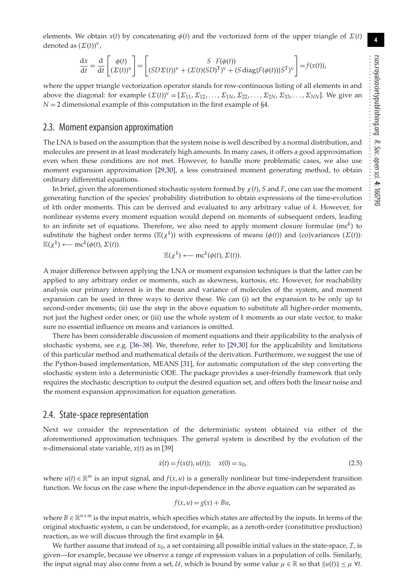**4**

elements. We obtain  $x(t)$  by concatenating  $\phi(t)$  and the vectorized form of the upper triangle of  $\Sigma(t)$ denoted as  $(\Sigma(t))^{\vee}$ ,

$$
\frac{\mathrm{d}x}{\mathrm{d}t} = \frac{\mathrm{d}}{\mathrm{d}t} \left[ \begin{matrix} \phi(t) \\ (\varSigma(t))^v \end{matrix} \right] = \left[ \begin{matrix} S \cdot F(\phi(t)) \\ (SD \varSigma(t))^v + (\varSigma(t)(SD)^T)^v + (S \operatorname{diag}\{F(\phi(t))\} S^T)^v \end{matrix} \right] = f(x(t)),
$$

where the upper triangle vectorization operator stands for row-continuous listing of all elements in and above the diagonal: for example  $(\Sigma(t))^v = [\Sigma_{11}, \Sigma_{12}, \ldots, \Sigma_{1N}, \Sigma_{22}, \ldots, \Sigma_{2N}, \Sigma_{33}, \ldots, \Sigma_{NN}]$ . We give an *N* = 2 dimensional example of this computation in the first example of §4.

#### 2.3. Moment expansion approximation

The LNA is based on the assumption that the system noise is well described by a normal distribution, and molecules are present in at least moderately high amounts. In many cases, it offers a good approximation even when these conditions are not met. However, to handle more problematic cases, we also use moment expansion approximation [\[29](#page-13-6)[,30\]](#page-13-12), a less constrained moment generating method, to obtain ordinary differential equations.

In brief, given the aforementioned stochastic system formed by χ(*t*), *S* and *F*, one can use the moment generating function of the species' probability distribution to obtain expressions of the time-evolution of *k*th order moments. This can be derived and evaluated to any arbitrary value of *k*. However, for nonlinear systems every moment equation would depend on moments of subsequent orders, leading to an infinite set of equations. Therefore, we also need to apply moment closure formulae (mc*k*) to substitute the highest order terms ( $\mathbb{E}(\chi^k)$ ) with expressions of means ( $\phi(t)$ ) and (co)variances ( $\Sigma(t)$ ):  $\mathbb{E}(\chi^k)$  ← mc<sup>k</sup>( $\phi(t)$ ,  $\Sigma(t)$ ).

$$
\mathbb{E}(\chi^k) \longleftarrow \mathbf{mc}^k(\phi(t), \Sigma(t)).
$$

A major difference between applying the LNA or moment expansion techniques is that the latter can be applied to any arbitrary order or moments, such as skewness, kurtosis, etc. However, for reachability analysis our primary interest is in the mean and variance of molecules of the system, and moment expansion can be used in three ways to derive these. We can (i) set the expansion to be only up to second-order moments; (ii) use the step in the above equation to substitute all higher-order moments, not just the highest order ones; or (iii) use the whole system of *k* moments as our state vector, to make sure no essential influence on means and variances is omitted.

There has been considerable discussion of moment equations and their applicability to the analysis of stochastic systems, see e.g. [\[36](#page-13-13)[–38\]](#page-13-14). We, therefore, refer to [\[29](#page-13-6)[,30\]](#page-13-12) for the applicability and limitations of this particular method and mathematical details of the derivation. Furthermore, we suggest the use of the Python-based implementation, MEANS [\[31\]](#page-13-7), for automatic computation of the step converting the stochastic system into a deterministic ODE. The package provides a user-friendly framework that only requires the stochastic description to output the desired equation set, and offers both the linear noise and the moment expansion approximation for equation generation.

#### 2.4. State-space representation

Next we consider the representation of the deterministic system obtained via either of the aforementioned approximation techniques. The general system is described by the evolution of the *n*-dimensional state variable, *x*(*t*) as in [\[39\]](#page-13-15)

$$
\dot{x}(t) = f(x(t), u(t)); \quad x(0) = x_0,\tag{2.5}
$$

where  $u(t) \in \mathbb{R}^m$  is an input signal, and  $f(x, u)$  is a generally nonlinear but time-independent transition function. We focus on the case where the input-dependence in the above equation can be separated as

$$
f(x, u) = g(x) + Bu,
$$

where  $B \in \mathbb{R}^{n \times m}$  is the input matrix, which specifies which states are affected by the inputs. In terms of the original stochastic system, *u* can be understood, for example, as a zeroth-order (constitutive production) reaction, as we will discuss through the first example in §4.

We further assume that instead of  $x_0$ , a set containing all possible initial values in the state-space,  $\mathcal{I}$ , is given—for example, because we observe a range of expression values in a population of cells. Similarly, the input signal may also come from a set, *U*, which is bound by some value  $\mu \in \mathbb{R}$  so that  $\|\mu(t)\| \leq \mu \forall t$ .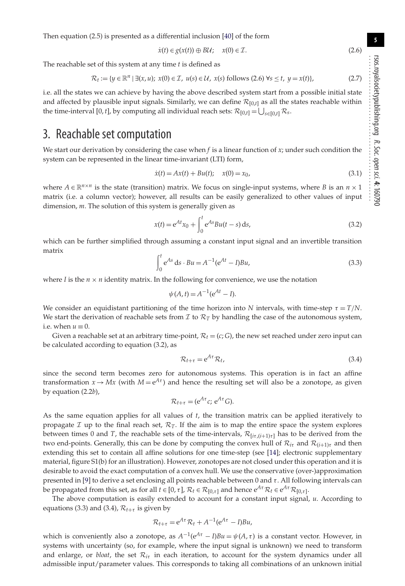Then equation (2.5) is presented as a differential inclusion [\[40\]](#page-13-16) of the form

$$
\dot{x}(t) \in g(x(t)) \oplus B\mathcal{U}; \quad x(0) \in \mathcal{I}.\tag{2.6}
$$

The reachable set of this system at any time *t* is defined as

$$
\mathcal{R}_t := \{ y \in \mathbb{R}^n \mid \exists (x, u); \ x(0) \in \mathcal{I}, \ u(s) \in \mathcal{U}, \ x(s) \text{ follows (2.6)} \ \forall s \le t, \ y = x(t) \},\tag{2.7}
$$

i.e. all the states we can achieve by having the above described system start from a possible initial state and affected by plausible input signals. Similarly, we can define  $\mathcal{R}_{[0,t]}$  as all the states reachable within the time-interval [0, *t*], by computing all individual reach sets:  $\mathcal{R}_{[0,t]} = \bigcup_{s \in [0,t]} \mathcal{R}_s$ .

## 3. Reachable set computation

We start our derivation by considering the case when *f* is a linear function of *x*; under such condition the system can be represented in the linear time-invariant (LTI) form,

$$
\dot{x}(t) = Ax(t) + Bu(t); \quad x(0) = x_0,\tag{3.1}
$$

where  $A \in \mathbb{R}^{n \times n}$  is the state (transition) matrix. We focus on single-input systems, where *B* is an  $n \times 1$ matrix (i.e. a column vector); however, all results can be easily generalized to other values of input dimension, *m*. The solution of this system is generally given as

$$
x(t) = e^{At}x_0 + \int_0^t e^{As}Bu(t-s) ds,
$$
\n(3.2)

which can be further simplified through assuming a constant input signal and an invertible transition matrix

$$
\int_{0}^{t} e^{As} ds \cdot Bu = A^{-1} (e^{At} - I)Bu,
$$
\n(3.3)

where *I* is the  $n \times n$  identity matrix. In the following for convenience, we use the notation

$$
\psi(A,t) = A^{-1}(e^{At} - I).
$$

We consider an equidistant partitioning of the time horizon into *N* intervals, with time-step  $\tau = T/N$ . We start the derivation of reachable sets from  $I$  to  $R_I$  by handling the case of the autonomous system, i.e. when  $u \equiv 0$ .

Given a reachable set at an arbitrary time-point,  $\mathcal{R}_t = (c; G)$ , the new set reached under zero input can be calculated according to equation (3.2), as

$$
\mathcal{R}_{t+\tau} = e^{A\tau} \mathcal{R}_t, \tag{3.4}
$$

since the second term becomes zero for autonomous systems. This operation is in fact an affine transformation  $x \to Mx$  (with  $M = e^{At}$ ) and hence the resulting set will also be a zonotope, as given by equation (2.2*b*),

$$
\mathcal{R}_{t+\tau} = (e^{A\tau} c; e^{A\tau} G).
$$

As the same equation applies for all values of *t*, the transition matrix can be applied iteratively to propagate  $\mathcal I$  up to the final reach set,  $\mathcal R_T$ . If the aim is to map the entire space the system explores between times 0 and *T*, the reachable sets of the time-intervals,  $\mathcal{R}_{[it,(i+1)\tau]}$  has to be derived from the two end-points. Generally, this can be done by computing the convex hull of  $\mathcal{R}_{it}$  and  $\mathcal{R}_{(i+1)\tau}$  and then extending this set to contain all affine solutions for one time-step (see [\[14\]](#page-12-10); electronic supplementary material, figure S1(b) for an illustration). However, zonotopes are not closed under this operation and it is desirable to avoid the exact computation of a convex hull. We use the conservative (over-)approximation presented in [\[9\]](#page-12-7) to derive a set enclosing all points reachable between 0 and  $\tau$ . All following intervals can be propagated from this set, as for all  $t \in [0, \tau]$ ,  $\mathcal{R}_t \in \mathcal{R}_{[0,\tau]}$  and hence  $e^{A\tau} \mathcal{R}_t \in e^{A\tau} \mathcal{R}_{[0,\tau]}$ .

The above computation is easily extended to account for a constant input signal, *u*. According to equations (3.3) and (3.4),  $\mathcal{R}_{t+\tau}$  is given by

$$
\mathcal{R}_{t+\tau} = e^{A\tau} \mathcal{R}_t + A^{-1} (e^{A\tau} - I)Bu,
$$

which is conveniently also a zonotope, as  $A^{-1}(e^{At} - I)Bu = \psi(A, \tau)$  is a constant vector. However, in systems with uncertainty (so, for example, where the input signal is unknown) we need to transform and enlarge, or *bloat*, the set  $\mathcal{R}_{i\tau}$  in each iteration, to account for the system dynamics under all admissible input/parameter values. This corresponds to taking all combinations of an unknown initial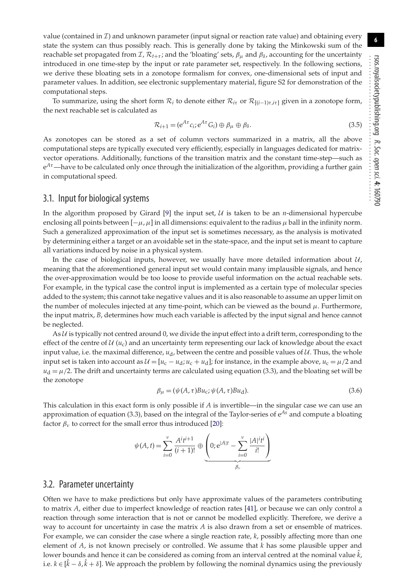value (contained in *I*) and unknown parameter (input signal or reaction rate value) and obtaining every state the system can thus possibly reach. This is generally done by taking the Minkowski sum of the reachable set propagated from *I*,  $\mathcal{R}_{t+\tau}$ ; and the 'bloating' sets,  $\beta_{\mu}$  and  $\beta_{\delta}$ , accounting for the uncertainty introduced in one time-step by the input or rate parameter set, respectively. In the following sections, we derive these bloating sets in a zonotope formalism for convex, one-dimensional sets of input and parameter values. In addition, see electronic supplementary material, figure S2 for demonstration of the computational steps.

To summarize, using the short form  $\mathcal{R}_i$  to denote either  $\mathcal{R}_{i\tau}$  or  $\mathcal{R}_{[(i-1)\tau,i\tau]}$  given in a zonotope form, the next reachable set is calculated as

$$
\mathcal{R}_{i+1} = (e^{A\tau} c_i; e^{A\tau} G_i) \oplus \beta_\mu \oplus \beta_\delta. \tag{3.5}
$$

As zonotopes can be stored as a set of column vectors summarized in a matrix, all the above computational steps are typically executed very efficiently, especially in languages dedicated for matrixvector operations. Additionally, functions of the transition matrix and the constant time-step—such as  $e^{A\tau}$ —have to be calculated only once through the initialization of the algorithm, providing a further gain in computational speed.

#### 3.1. Input for biological systems

In the algorithm proposed by Girard [\[9\]](#page-12-7) the input set, *U* is taken to be an *n*-dimensional hypercube enclosing all points between  $[-\mu, \mu]$  in all dimensions: equivalent to the radius  $\mu$  ball in the infinity norm. Such a generalized approximation of the input set is sometimes necessary, as the analysis is motivated by determining either a target or an avoidable set in the state-space, and the input set is meant to capture all variations induced by noise in a physical system.

In the case of biological inputs, however, we usually have more detailed information about *U*, meaning that the aforementioned general input set would contain many implausible signals, and hence the over-approximation would be too loose to provide useful information on the actual reachable sets. For example, in the typical case the control input is implemented as a certain type of molecular species added to the system; this cannot take negative values and it is also reasonable to assume an upper limit on the number of molecules injected at any time-point, which can be viewed as the bound  $\mu$ . Furthermore, the input matrix, *B*, determines how much each variable is affected by the input signal and hence cannot be neglected.

As *U* is typically not centred around 0, we divide the input effect into a drift term, corresponding to the effect of the centre of  $U(\mu_c)$  and an uncertainty term representing our lack of knowledge about the exact input value, i.e. the maximal difference,  $u_d$ , between the centre and possible values of  $U$ . Thus, the whole input set is taken into account as  $\mathcal{U} = [u_c - u_d; u_c + u_d]$ ; for instance, in the example above,  $u_c = \mu/2$  and  $u_d = \mu/2$ . The drift and uncertainty terms are calculated using equation (3.3), and the bloating set will be the zonotope

$$
\beta_{\mu} = (\psi(A, \tau)Bu_c; \psi(A, \tau)Bu_d). \tag{3.6}
$$

This calculation in this exact form is only possible if *A* is invertible—in the singular case we can use an approximation of equation (3.3), based on the integral of the Taylor-series of e*As* and compute a bloating factor  $\beta_{\nu}$  to correct for the small error thus introduced [\[20\]](#page-12-16):

$$
\psi(A, t) = \sum_{i=0}^{\nu} \frac{A^i t^{i+1}}{(i+1)!} \oplus \underbrace{\left(0; e^{|A|t} - \sum_{i=0}^{\nu} \frac{|A|^i t^i}{i!} \right)}_{\beta_{\nu}}
$$

#### 3.2. Parameter uncertainty

Often we have to make predictions but only have approximate values of the parameters contributing to matrix *A*, either due to imperfect knowledge of reaction rates [\[41\]](#page-13-17), or because we can only control a reaction through some interaction that is not or cannot be modelled explicitly. Therefore, we derive a way to account for uncertainty in case the matrix *A* is also drawn from a set or ensemble of matrices. For example, we can consider the case where a single reaction rate, *k*, possibly affecting more than one element of *A*, is not known precisely or controlled. We assume that *k* has some plausible upper and lower bounds and hence it can be considered as coming from an interval centred at the nominal value  $\hat{k}$ , i.e.  $k ∈ [k − δ, k + δ]$ . We approach the problem by following the nominal dynamics using the previously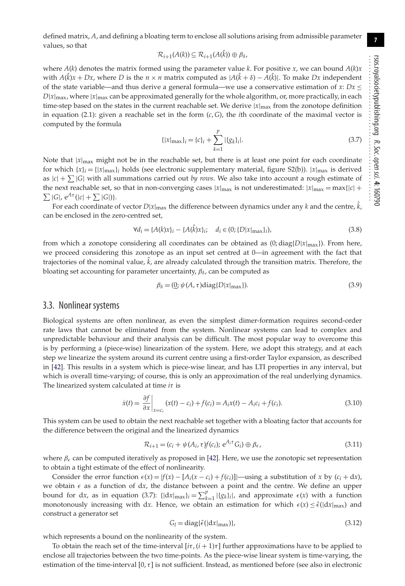$$
\mathcal{R}_{i+1}(A(k)) \subseteq \mathcal{R}_{i+1}(A(\hat{k})) \oplus \beta_{\delta},
$$

where  $A(k)$  denotes the matrix formed using the parameter value  $k$ . For positive  $x$ , we can bound  $A(k)x$ with  $A(\hat{k})x + Dx$ , where *D* is the  $n \times n$  matrix computed as  $|A(\hat{k} + \delta) - \hat{A}(\hat{k})|$ . To make *Dx* independent of the state variable—and thus derive a general formula—we use a conservative estimation of  $x: Dx \leq x$  $D|x|_{\text{max}}$ , where  $|x|_{\text{max}}$  can be approximated generally for the whole algorithm, or, more practically, in each time-step based on the states in the current reachable set. We derive  $|x|_{\text{max}}$  from the zonotope definition in equation (2.1): given a reachable set in the form  $(c, G)$ , the *i*th coordinate of the maximal vector is computed by the formula

$$
\{|x|_{\max}\}_i = \{c\}_i + \sum_{k=1}^p |\{g_k\}_i|.
$$
\n(3.7)

Note that  $|x|_{\text{max}}$  might not be in the reachable set, but there is at least one point for each coordinate for which  $\{x\}_i = \{ |x|_{\text{max}}\}_i$  holds (see electronic supplementary material, figure S2(b)).  $|x|_{\text{max}}$  is derived as  $|c| + \sum |G|$  with all summations carried out *by rows*. We also take into account a rough estimate of the next reachable set, so that in non-converging cases  $|x|_{max}$  is not underestimated:  $|x|_{max} = max\{|c| +$  $\sum |G|$ ,  $e^{At}(|c| + \sum |G|)$ .

For each coordinate of vector  $D|x|_{\text{max}}$  the difference between dynamics under any *k* and the centre,  $\hat{k}$ , can be enclosed in the zero-centred set,

$$
\forall d_i = \{A(k)x\}_i - \{A(\hat{k})x\}_i; \quad d_i \in (0; \{D|x|_{\max}\}_i),
$$
\n(3.8)

from which a zonotope considering all coordinates can be obtained as  $(0; diag{D}|x|_{max})$ . From here, we proceed considering this zonotope as an input set centred at 0—in agreement with the fact that trajectories of the nominal value,  $\hat{k}$ , are already calculated through the transition matrix. Therefore, the bloating set accounting for parameter uncertainty,  $\beta_{\delta}$ , can be computed as

$$
\beta_{\delta} = (\underline{0}; \psi(A, \tau) \text{diag}\{D|x|_{\text{max}}\}).
$$
\n(3.9)

#### 3.3. Nonlinear systems

Biological systems are often nonlinear, as even the simplest dimer-formation requires second-order rate laws that cannot be eliminated from the system. Nonlinear systems can lead to complex and unpredictable behaviour and their analysis can be difficult. The most popular way to overcome this is by performing a (piece-wise) linearization of the system. Here, we adopt this strategy, and at each step we linearize the system around its current centre using a first-order Taylor expansion, as described in [\[42\]](#page-13-18). This results in a system which is piece-wise linear, and has LTI properties in any interval, but which is overall time-varying; of course, this is only an approximation of the real underlying dynamics. The linearized system calculated at time *i*τ is

$$
\dot{x}(t) = \frac{\partial f}{\partial x}\bigg|_{x=c_i} (x(t) - c_i) + f(c_i) = A_i x(t) - A_i c_i + f(c_i). \tag{3.10}
$$

This system can be used to obtain the next reachable set together with a bloating factor that accounts for the difference between the original and the linearized dynamics

$$
\mathcal{R}_{i+1} = (c_i + \psi(A_i, \tau) f(c_i); \mathbf{e}^{A_i \tau} G_i) \oplus \beta_{\epsilon}, \tag{3.11}
$$

where  $\beta_{\epsilon}$  can be computed iteratively as proposed in [\[42\]](#page-13-18). Here, we use the zonotopic set representation to obtain a tight estimate of the effect of nonlinearity.

Consider the error function  $\epsilon(x) = |f(x) - [A_i(x - c_i) + f(c_i)]|$ —using a substitution of *x* by  $(c_i + dx)$ , we obtain  $\epsilon$  as a function of dx, the distance between a point and the centre. We define an upper bound for dx, as in equation (3.7):  $\{ |dx|_{max} \}_i = \sum_{k=1}^p |\{g_k\}_i|$ , and approximate  $\epsilon(x)$  with a function monotonously increasing with dx. Hence, we obtain an estimation for which  $\epsilon(x) \leq \hat{\epsilon}(|dx|_{max})$  and construct a generator set

$$
G_l = \text{diag}\{\hat{\epsilon}(|dx|_{\text{max}})\},\tag{3.12}
$$

which represents a bound on the nonlinearity of the system.

To obtain the reach set of the time-interval  $[i\tau, (i+1)\tau]$  further approximations have to be applied to enclose all trajectories between the two time-points. As the piece-wise linear system is time-varying, the estimation of the time-interval  $[0, \tau]$  is not sufficient. Instead, as mentioned before (see also in electronic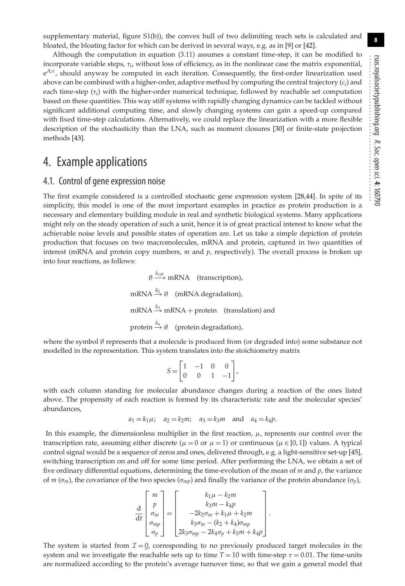**8**

Although the computation in equation (3.11) assumes a constant time-step, it can be modified to incorporate variable steps, τ*i*, without loss of efficiency, as in the nonlinear case the matrix exponential,  $e^{A_i\tau}$ , should anyway be computed in each iteration. Consequently, the first-order linearization used above can be combined with a higher-order, adaptive method by computing the central trajectory (*ci*) and each time-step  $(\tau_i)$  with the higher-order numerical technique, followed by reachable set computation based on these quantities. This way stiff systems with rapidly changing dynamics can be tackled without significant additional computing time, and slowly changing systems can gain a speed-up compared with fixed time-step calculations. Alternatively, we could replace the linearization with a more flexible description of the stochasticity than the LNA, such as moment closures [\[30\]](#page-13-12) or finite-state projection methods [\[43\]](#page-13-19).

## 4. Example applications

#### 4.1. Control of gene expression noise

The first example considered is a controlled stochastic gene expression system [\[28](#page-13-5)[,44\]](#page-13-20). In spite of its simplicity, this model is one of the most important examples in practice as protein production is a necessary and elementary building module in real and synthetic biological systems. Many applications might rely on the steady operation of such a unit, hence it is of great practical interest to know what the achievable noise levels and possible states of operation are. Let us take a simple depiction of protein production that focuses on two macromolecules, mRNA and protein, captured in two quantities of interest (mRNA and protein copy numbers, *m* and *p*, respectively). The overall process is broken up into four reactions, as follows:

> $\emptyset \longrightarrow^k nRNA$  (transcription), mRNA  $\xrightarrow{k_2}$  Ø (mRNA degradation),  $mRNA \stackrel{k_3}{\rightarrow} mRNA + protein$  (translation) and protein  $\stackrel{k_4}{\rightarrow} \emptyset$  (protein degradation),

where the symbol Ø represents that a molecule is produced from (or degraded into) some substance not modelled in the representation. This system translates into the stoichiometry matrix

$$
S = \begin{bmatrix} 1 & -1 & 0 & 0 \\ 0 & 0 & 1 & -1 \end{bmatrix},
$$

with each column standing for molecular abundance changes during a reaction of the ones listed above. The propensity of each reaction is formed by its characteristic rate and the molecular species' abundances,

$$
a_1 = k_1 \mu
$$
;  $a_2 = k_2 m$ ;  $a_3 = k_3 m$  and  $a_4 = k_4 p$ .

In this example, the dimensionless multiplier in the first reaction,  $\mu$ , represents our control over the transcription rate, assuming either discrete ( $\mu = 0$  or  $\mu = 1$ ) or continuous ( $\mu \in [0,1]$ ) values. A typical control signal would be a sequence of zeros and ones, delivered through, e.g. a light-sensitive set-up [\[45\]](#page-13-21), switching transcription on and off for some time period. After performing the LNA, we obtain a set of five ordinary differential equations, determining the time-evolution of the mean of *m* and *p*, the variance of *m* ( $\sigma_m$ ), the covariance of the two species ( $\sigma_{mp}$ ) and finally the variance of the protein abundance ( $\sigma_p$ ),

$$
\frac{\mathrm{d}}{\mathrm{d}t}\begin{bmatrix} m \\ p \\ \sigma_m \\ \sigma_{mp} \\ \sigma_p \end{bmatrix} = \begin{bmatrix} k_1\mu - k_2m \\ k_3m - k_4p \\ -2k_2\sigma_m + k_1\mu + k_2m \\ k_3\sigma_m - (k_2 + k_4)\sigma_{mp} \\ 2k_3\sigma_{mp} - 2k_4\sigma_p + k_3m + k_4p \end{bmatrix}.
$$

The system is started from  $I = 0$ , corresponding to no previously produced target molecules in the system and we investigate the reachable sets up to time  $T = 10$  with time-step  $\tau = 0.01$ . The time-units are normalized according to the protein's average turnover time, so that we gain a general model that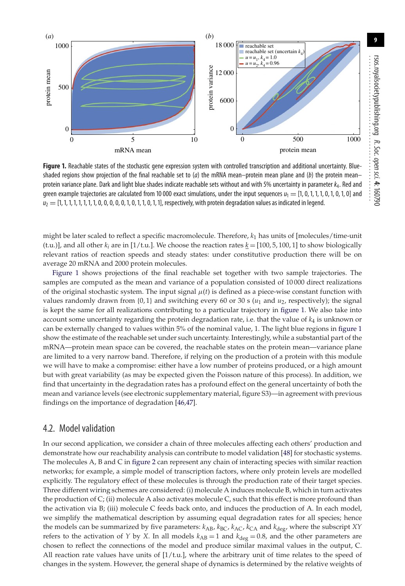<span id="page-8-0"></span>

**Figure 1.** Reachable states of the stochastic gene expression system with controlled transcription and additional uncertainty. Blueshaded regions show projection of the final reachable set to (a) the mRNA mean–protein mean plane and (b) the protein mean– protein variance plane. Dark and light blue shades indicate reachable sets without and with 5% uncertainty in parameter  $k_4$ . Red and green example trajectories are calculated from 10 000 exact simulations, under the input sequences  $u_1 = [1, 0, 1, 1, 1, 0, 1, 0, 1, 0]$  and  $u_2 = [1, 1, 1, 1, 1, 1, 1, 0, 0, 0, 0, 0, 1, 0, 1, 1, 0, 1, 1]$ , respectively, with protein degradation values as indicated in legend.

might be later scaled to reflect a specific macromolecule. Therefore, *k*<sup>1</sup> has units of [molecules/time-unit  $(t.u.)$ ], and all other  $k_i$  are in [1/t.u.]. We choose the reaction rates  $k = [100, 5, 100, 1]$  to show biologically relevant ratios of reaction speeds and steady states: under constitutive production there will be on average 20 mRNA and 2000 protein molecules.

[Figure 1](#page-8-0) shows projections of the final reachable set together with two sample trajectories. The samples are computed as the mean and variance of a population consisted of 10 000 direct realizations of the original stochastic system. The input signal  $\mu(t)$  is defined as a piece-wise constant function with values randomly drawn from  $\{0, 1\}$  and switching every 60 or 30 s  $(u_1$  and  $u_2$ , respectively); the signal is kept the same for all realizations contributing to a particular trajectory in [figure 1.](#page-8-0) We also take into account some uncertainty regarding the protein degradation rate, i.e. that the value of *k*<sup>4</sup> is unknown or can be externally changed to values within 5% of the nominal value, 1. The light blue regions in [figure 1](#page-8-0) show the estimate of the reachable set under such uncertainty. Interestingly, while a substantial part of the mRNA—protein mean space can be covered, the reachable states on the protein mean—variance plane are limited to a very narrow band. Therefore, if relying on the production of a protein with this module we will have to make a compromise: either have a low number of proteins produced, or a high amount but with great variability (as may be expected given the Poisson nature of this process). In addition, we find that uncertainty in the degradation rates has a profound effect on the general uncertainty of both the mean and variance levels (see electronic supplementary material, figure S3)—in agreement with previous findings on the importance of degradation [\[46,](#page-13-22)[47\]](#page-13-23).

#### 4.2. Model validation

In our second application, we consider a chain of three molecules affecting each others' production and demonstrate how our reachability analysis can contribute to model validation [\[48\]](#page-13-24) for stochastic systems. The molecules A, B and C in [figure 2](#page-9-0) can represent any chain of interacting species with similar reaction networks; for example, a simple model of transcription factors, where only protein levels are modelled explicitly. The regulatory effect of these molecules is through the production rate of their target species. Three different wiring schemes are considered: (i) molecule A induces molecule B, which in turn activates the production of C; (ii) molecule A also activates molecule C, such that this effect is more profound than the activation via B; (iii) molecule C feeds back onto, and induces the production of A. In each model, we simplify the mathematical description by assuming equal degradation rates for all species; hence the models can be summarized by five parameters: *k*AB, *k*BC, *k*AC, *k*CA and *k*deg, where the subscript *XY* refers to the activation of *Y* by *X*. In all models  $k_{AB} = 1$  and  $k_{deg} = 0.8$ , and the other parameters are chosen to reflect the connections of the model and produce similar maximal values in the output, C. All reaction rate values have units of  $[1/t.u.]$ , where the arbitrary unit of time relates to the speed of changes in the system. However, the general shape of dynamics is determined by the relative weights of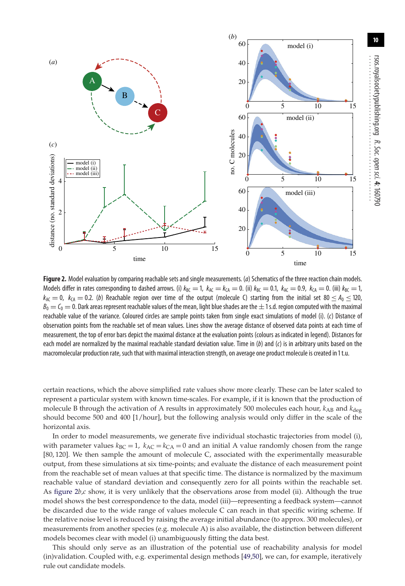<span id="page-9-0"></span>

Figure 2. Model evaluation by comparing reachable sets and single measurements. (a) Schematics of the three reaction chain models. Models differ in rates corresponding to dashed arrows. (i)  $k_{BC} = 1$ ,  $k_{AC} = k_{CA} = 0$ . (ii)  $k_{BC} = 0.1$ ,  $k_{AC} = 0.9$ ,  $k_{CA} = 0$ . (iii)  $k_{BC} = 1$ ,  $k_{AC} = 0$ ,  $k_{CA} = 0.2$ . (b) Reachable region over time of the output (molecule C) starting from the initial set 80  $\le A_0 \le 120$ ,  $B_0=$  C<sub>0</sub>  $=$  0. Dark areas represent reachable values of the mean, light blue shades are the  $\pm$  1 s.d. region computed with the maximal reachable value of the variance. Coloured circles are sample points taken from single exact simulations of model (i). (c) Distance of observation points from the reachable set of mean values. Lines show the average distance of observed data points at each time of measurement, the top of error bars depict the maximal distance at the evaluation points (colours as indicated in legend). Distances for each model are normalized by the maximal reachable standard deviation value. Time in  $(b)$  and  $(c)$  is in arbitrary units based on the macromolecular production rate, such that with maximal interaction strength, on average one product molecule is created in 1 t.u.

certain reactions, which the above simplified rate values show more clearly. These can be later scaled to represent a particular system with known time-scales. For example, if it is known that the production of molecule B through the activation of A results in approximately 500 molecules each hour,  $k_{AB}$  and  $k_{\text{dec}}$ should become 500 and 400 [1/hour], but the following analysis would only differ in the scale of the horizontal axis.

In order to model measurements, we generate five individual stochastic trajectories from model (i), with parameter values  $k_{BC} = 1$ ,  $k_{AC} = k_{CA} = 0$  and an initial A value randomly chosen from the range [80, 120]. We then sample the amount of molecule C, associated with the experimentally measurable output, from these simulations at six time-points; and evaluate the distance of each measurement point from the reachable set of mean values at that specific time. The distance is normalized by the maximum reachable value of standard deviation and consequently zero for all points within the reachable set. As [figure 2](#page-9-0)*b*,*c* show, it is very unlikely that the observations arose from model (ii). Although the true model shows the best correspondence to the data, model (iii)—representing a feedback system—cannot be discarded due to the wide range of values molecule C can reach in that specific wiring scheme. If the relative noise level is reduced by raising the average initial abundance (to approx. 300 molecules), or measurements from another species (e.g. molecule A) is also available, the distinction between different models becomes clear with model (i) unambiguously fitting the data best.

This should only serve as an illustration of the potential use of reachability analysis for model (in)validation. Coupled with, e.g. experimental design methods [\[49](#page-13-25)[,50\]](#page-13-26), we can, for example, iteratively rule out candidate models.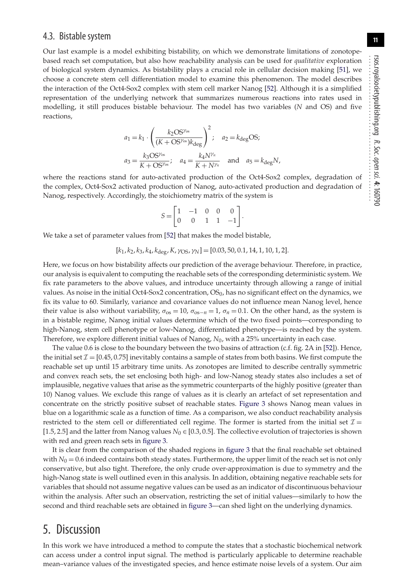# rsos.royalsocietypublishing.org R. Soc. open sci. **4**: 160790 ................................................

#### 4.3. Bistable system

Our last example is a model exhibiting bistability, on which we demonstrate limitations of zonotopebased reach set computation, but also how reachability analysis can be used for *qualitative* exploration of biological system dynamics. As bistability plays a crucial role in cellular decision making [\[51\]](#page-13-27), we choose a concrete stem cell differentiation model to examine this phenomenon. The model describes the interaction of the Oct4-Sox2 complex with stem cell marker Nanog [\[52\]](#page-13-28). Although it is a simplified representation of the underlying network that summarizes numerous reactions into rates used in modelling, it still produces bistable behaviour. The model has two variables (*N* and OS) and five reactions,

$$
a_1 = k_1 \cdot \left(\frac{k_2OS^{\gamma_{\text{os}}}}{(K + OS^{\gamma_{\text{os}}})k_{\text{deg}}}\right)^2; \quad a_2 = k_{\text{deg}}OS; a_3 = \frac{k_3OS^{\gamma_{\text{os}}}}{K + OS^{\gamma_{\text{os}}}}; \quad a_4 = \frac{k_4N^{\gamma_n}}{K + N^{\gamma_n}} \quad \text{and} \quad a_5 = k_{\text{deg}}N,
$$

where the reactions stand for auto-activated production of the Oct4-Sox2 complex, degradation of the complex, Oct4-Sox2 activated production of Nanog, auto-activated production and degradation of Nanog, respectively. Accordingly, the stoichiometry matrix of the system is

$$
S = \begin{bmatrix} 1 & -1 & 0 & 0 & 0 \\ 0 & 0 & 1 & 1 & -1 \end{bmatrix}.
$$

We take a set of parameter values from [\[52\]](#page-13-28) that makes the model bistable,

$$
[k_1, k_2, k_3, k_4, k_{\text{deg}}, K, \gamma_{\text{OS}}, \gamma_{\text{N}}] = [0.03, 50, 0.1, 14, 1, 10, 1, 2].
$$

Here, we focus on how bistability affects our prediction of the average behaviour. Therefore, in practice, our analysis is equivalent to computing the reachable sets of the corresponding deterministic system. We fix rate parameters to the above values, and introduce uncertainty through allowing a range of initial values. As noise in the initial Oct4-Sox2 concentration,  $OS<sub>0</sub>$ , has no significant effect on the dynamics, we fix its value to 60. Similarly, variance and covariance values do not influence mean Nanog level, hence their value is also without variability,  $\sigma_{\text{os}} = 10$ ,  $\sigma_{\text{os}-n} = 1$ ,  $\sigma_n = 0.1$ . On the other hand, as the system is in a bistable regime, Nanog initial values determine which of the two fixed points—corresponding to high-Nanog, stem cell phenotype or low-Nanog, differentiated phenotype—is reached by the system. Therefore, we explore different initial values of Nanog, *N*0, with a 25% uncertainty in each case.

The value 0.6 is close to the boundary between the two basins of attraction (c.f. fig. 2A in [\[52\]](#page-13-28)). Hence, the initial set  $\mathcal{I} = [0.45, 0.75]$  inevitably contains a sample of states from both basins. We first compute the reachable set up until 15 arbitrary time units. As zonotopes are limited to describe centrally symmetric and convex reach sets, the set enclosing both high- and low-Nanog steady states also includes a set of implausible, negative values that arise as the symmetric counterparts of the highly positive (greater than 10) Nanog values. We exclude this range of values as it is clearly an artefact of set representation and concentrate on the strictly positive subset of reachable states. [Figure 3](#page-11-0) shows Nanog mean values in blue on a logarithmic scale as a function of time. As a comparison, we also conduct reachability analysis restricted to the stem cell or differentiated cell regime. The former is started from the initial set  $I =$ [1.5, 2.5] and the latter from Nanog values  $N_0 \in [0.3, 0.5]$ . The collective evolution of trajectories is shown with red and green reach sets in [figure 3.](#page-11-0)

It is clear from the comparison of the shaded regions in [figure 3](#page-11-0) that the final reachable set obtained with  $N_0 = 0.6$  indeed contains both steady states. Furthermore, the upper limit of the reach set is not only conservative, but also tight. Therefore, the only crude over-approximation is due to symmetry and the high-Nanog state is well outlined even in this analysis. In addition, obtaining negative reachable sets for variables that should not assume negative values can be used as an indicator of discontinuous behaviour within the analysis. After such an observation, restricting the set of initial values—similarly to how the second and third reachable sets are obtained in [figure 3—](#page-11-0)can shed light on the underlying dynamics.

### 5. Discussion

In this work we have introduced a method to compute the states that a stochastic biochemical network can access under a control input signal. The method is particularly applicable to determine reachable mean–variance values of the investigated species, and hence estimate noise levels of a system. Our aim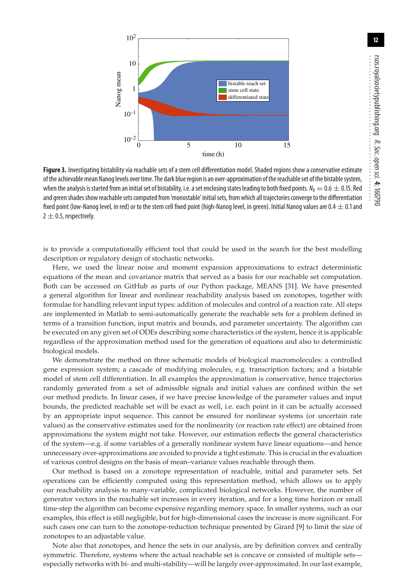<span id="page-11-0"></span>

**Figure 3.** Investigating bistability via reachable sets of a stem cell differentiation model. Shaded regions show a conservative estimate of the achievable mean Nanog levels over time. The dark blue region is an over-approximation of the reachableset of the bistablesystem, when the analysis is started from an initial set of bistability, i.e. a set enclosing states leading to both fixed points.  $N_0 = 0.6 \pm 0.15$ . Red and green shades show reachable sets computed from 'monostable' initial sets, from which all trajectories converge to the differentiation fixed point (low-Nanog level, in red) or to the stem cell fixed point (high-Nanog level, in green). Initial Nanog values are 0.4  $\pm$  0.1 and  $2 \pm 0.5$ , respectively.

is to provide a computationally efficient tool that could be used in the search for the best modelling description or regulatory design of stochastic networks.

Here, we used the linear noise and moment expansion approximations to extract deterministic equations of the mean and covariance matrix that served as a basis for our reachable set computation. Both can be accessed on GitHub as parts of our Python package, MEANS [\[31\]](#page-13-7). We have presented a general algorithm for linear and nonlinear reachability analysis based on zonotopes, together with formulae for handling relevant input types: addition of molecules and control of a reaction rate. All steps are implemented in Matlab to semi-automatically generate the reachable sets for a problem defined in terms of a transition function, input matrix and bounds, and parameter uncertainty. The algorithm can be executed on any given set of ODEs describing some characteristics of the system, hence it is applicable regardless of the approximation method used for the generation of equations and also to deterministic biological models.

We demonstrate the method on three schematic models of biological macromolecules: a controlled gene expression system; a cascade of modifying molecules, e.g. transcription factors; and a bistable model of stem cell differentiation. In all examples the approximation is conservative, hence trajectories randomly generated from a set of admissible signals and initial values are confined within the set our method predicts. In linear cases, if we have precise knowledge of the parameter values and input bounds, the predicted reachable set will be exact as well, i.e. each point in it can be actually accessed by an appropriate input sequence. This cannot be ensured for nonlinear systems (or uncertain rate values) as the conservative estimates used for the nonlinearity (or reaction rate effect) are obtained from approximations the system might not take. However, our estimation reflects the general characteristics of the system—e.g. if some variables of a generally nonlinear system have linear equations—and hence unnecessary over-approximations are avoided to provide a tight estimate. This is crucial in the evaluation of various control designs on the basis of mean–variance values reachable through them.

Our method is based on a zonotope representation of reachable, initial and parameter sets. Set operations can be efficiently computed using this representation method, which allows us to apply our reachability analysis to many-variable, complicated biological networks. However, the number of generator vectors in the reachable set increases in every iteration, and for a long time horizon or small time-step the algorithm can become expensive regarding memory space. In smaller systems, such as our examples, this effect is still negligible, but for high-dimensional cases the increase is more significant. For such cases one can turn to the zonotope-reduction technique presented by Girard [\[9\]](#page-12-7) to limit the size of zonotopes to an adjustable value.

Note also that zonotopes, and hence the sets in our analysis, are by definition convex and centrally symmetric. Therefore, systems where the actual reachable set is concave or consisted of multiple sets especially networks with bi- and multi-stability—will be largely over-approximated. In our last example,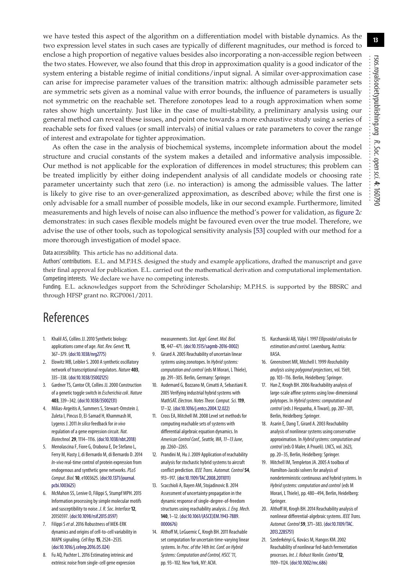we have tested this aspect of the algorithm on a differentiation model with bistable dynamics. As the two expression level states in such cases are typically of different magnitudes, our method is forced to enclose a high proportion of negative values besides also incorporating a non-accessible region between the two states. However, we also found that this drop in approximation quality is a good indicator of the system entering a bistable regime of initial conditions/input signal. A similar over-approximation case can arise for imprecise parameter values of the transition matrix: although admissible parameter sets are symmetric sets given as a nominal value with error bounds, the influence of parameters is usually not symmetric on the reachable set. Therefore zonotopes lead to a rough approximation when some rates show high uncertainty. Just like in the case of multi-stability, a preliminary analysis using our general method can reveal these issues, and point one towards a more exhaustive study using a series of reachable sets for fixed values (or small intervals) of initial values or rate parameters to cover the range of interest and extrapolate for tighter approximation.

As often the case in the analysis of biochemical systems, incomplete information about the model structure and crucial constants of the system makes a detailed and informative analysis impossible. Our method is not applicable for the exploration of differences in model structures; this problem can be treated implicitly by either doing independent analysis of all candidate models or choosing rate parameter uncertainty such that zero (i.e. no interaction) is among the admissible values. The latter is likely to give rise to an over-generalized approximation, as described above; while the first one is only advisable for a small number of possible models, like in our second example. Furthermore, limited measurements and high levels of noise can also influence the method's power for validation, as [figure 2](#page-9-0)*c* demonstrates: in such cases flexible models might be favoured even over the true model. Therefore, we advise the use of other tools, such as topological sensitivity analysis [\[53\]](#page-13-29) coupled with our method for a more thorough investigation of model space.

Data accessibility. This article has no additional data.

Authors' contributions. E.L. and M.P.H.S. designed the study and example applications, drafted the manuscript and gave their final approval for publication. E.L. carried out the mathematical derivation and computational implementation. Competing interests. We declare we have no competing interests.

Funding. E.L. acknowledges support from the Schrödinger Scholarship; M.P.H.S. is supported by the BBSRC and through HFSP grant no. RGP0061/2011.

## References

- <span id="page-12-0"></span>1. Khalil AS, Collins JJ. 2010 Synthetic biology: applications come of age. Nat. Rev. Genet.**11**, 367–379. [\(doi:10.1038/nrg2775\)](http://dx.doi.org/doi:10.1038/nrg2775)
- <span id="page-12-1"></span>2. Elowitz MB, Leibler S. 2000 A synthetic oscillatory network of transcriptional regulators. Nature **403**, 335–338. [\(doi:10.1038/35002125\)](http://dx.doi.org/doi:10.1038/35002125)
- <span id="page-12-2"></span>3. Gardner TS, Cantor CR, Collins JJ. 2000 Construction of a genetic toggle switch in Escherichia coli. Nature **403**, 339–342. [\(doi:10.1038/35002131\)](http://dx.doi.org/doi:10.1038/35002131)
- <span id="page-12-3"></span>4. Milias-Argeitis A, Summers S, Stewart-Ornstein J, Zuleta I, Pincus D, El-Samad H, Khammash M, Lygeros J. 2011 In silico feedback for in vivo regulation of a gene expression circuit. Nat. Biotechnol.**29**, 1114–1116. [\(doi:10.1038/nbt.2018\)](http://dx.doi.org/doi:10.1038/nbt.2018)
- <span id="page-12-4"></span>5. Menolascina F, Fiore G, Orabona E, De Stefano L, Ferry M, Hasty J, di Bernardo M, di Bernardo D. 2014 In-vivo real-time control of protein expression from endogenous and synthetic gene networks. PLoS Comput. Biol.**10**, e1003625. [\(doi:10.1371/journal.](http://dx.doi.org/doi:10.1371/journal.pcbi.1003625) [pcbi.1003625\)](http://dx.doi.org/doi:10.1371/journal.pcbi.1003625)
- <span id="page-12-5"></span>6. McMahon SS, Lenive O, Filippi S, Stumpf MPH. 2015 Information processing by simple molecular motifs and susceptibility to noise. J. R. Soc. Interface**12**, 20150597. [\(doi:10.1098/rsif.2015.0597\)](http://dx.doi.org/doi:10.1098/rsif.2015.0597)
- 7. Filippi S et al. 2016 Robustness of MEK-ERK dynamics and origins of cell-to-cell variability in MAPK signaling.Cell Rep.**15**, 2524–2535. [\(doi:10.1016/j.celrep.2016.05.024\)](http://dx.doi.org/doi:10.1016/j.celrep.2016.05.024)
- <span id="page-12-6"></span>8. Fu AQ, Pachter L. 2016 Estimating intrinsic and extrinsic noise from single-cell gene expression

measurements. Stat. Appl. Genet. Mol. Biol. **15**, 447–471. [\(doi:10.1515/sagmb-2016-0002\)](http://dx.doi.org/doi:10.1515/sagmb-2016-0002)

- <span id="page-12-7"></span>9. Girard A. 2005 Reachability of uncertain linear systems using zonotopes. In Hybrid systems: computation and control (eds M Morari, L Thiele), pp. 291–305. Berlin, Germany: Springer.
- 10. Audemard G, Bozzano M, Cimatti A, Sebastiani R. 2005 Verifying industrial hybrid systems with MathSAT.Electron. Notes Theor. Comput. Sci. **119**, 17–32. [\(doi:10.1016/j.entcs.2004.12.022\)](http://dx.doi.org/doi:10.1016/j.entcs.2004.12.022)
- <span id="page-12-9"></span>11. Cross EA, Mitchell IM. 2008 Level set methods for computing reachable sets of systems with differential algebraic equation dynamics. In American Control Conf., Seattle, WA, 11–13 June, pp. 2260–2265.
- 12. Prandini M, Hu J. 2009 Application of reachability analysis for stochastic hybrid systems to aircraft conflict prediction. IEEE Trans. Automat. Control **54**, 913–917. [\(doi:10.1109/TAC.2008.2011011\)](http://dx.doi.org/doi:10.1109/TAC.2008.2011011)
- <span id="page-12-8"></span>13. Scacchioli A, Bayen AM, Stojadinovic B. 2014 Assessment of uncertainty propagation in the dynamic response of single-degree-of-freedom structures using reachability analysis. J. Eng. Mech. **140**, 1–12. [\(doi:10.1061/\(ASCE\)EM.1943-7889.](http://dx.doi.org/doi:10.1061/(ASCE)EM.1943-7889.0000676) [0000676\)](http://dx.doi.org/doi:10.1061/(ASCE)EM.1943-7889.0000676)
- <span id="page-12-10"></span>14. Althoff M, LeGuernic C, Krogh BH. 2011 Reachable set computation for uncertain time-varying linear systems. In Proc. of the 14th Int. Conf. on Hybrid Systems: Computation and Control, HSCC '11, pp. 93–102. New York, NY: ACM.
- <span id="page-12-11"></span>15. Kurzhanski AB, Vályi I. 1997 Ellipsoidal calculus for estimation and control. Laxenburg, Austria: IIASA.
- <span id="page-12-12"></span>16. Greenstreet MR, Mitchell I. 1999 Reachability analysis using polygonal projections, vol. 1569, pp. 103–116. Berlin, Heidelberg: Springer.
- <span id="page-12-13"></span>17. Han Z, Krogh BH. 2006 Reachability analysis of large-scale affine systems using low-dimensional polytopes. In Hybrid systems: computation and control (eds J Hespanha, A Tiwari), pp. 287–301, Berlin, Heidelberg: Springer.
- <span id="page-12-14"></span>18. Asarin E, Dang T, Girard A. 2003 Reachability analysis of nonlinear systems using conservative approximation. In Hybrid systems: computation and control (eds O Maler, A Pnueli). LNCS, vol. 2623, pp. 20–35, Berlin, Heidelberg: Springer.
- <span id="page-12-15"></span>19. Mitchell IM, Templeton JA. 2005 A toolbox of Hamilton-Jacobi solvers for analysis of nondeterministic continuous and hybrid systems. In Hybrid systems: computation and control (eds M Morari, L Thiele), pp. 480–494, Berlin, Heidelberg: Springer.
- <span id="page-12-16"></span>20. Althoff M, Krogh BH. 2014 Reachability analysis of nonlinear differential-algebraic systems. IEEE Trans. Automat. Control **59**, 371–383. [\(doi:10.1109/TAC.](http://dx.doi.org/doi:10.1109/TAC.2013.2285751) [2013.2285751\)](http://dx.doi.org/doi:10.1109/TAC.2013.2285751)
- <span id="page-12-17"></span>21. Szederkényi G, Kovács M, Hangos KM. 2002 Reachability of nonlinear fed-batch fermentation processes. Int. J. Robust Nonlin. Control **12**, 1109–1124. [\(doi:10.1002/rnc.686\)](http://dx.doi.org/doi:10.1002/rnc.686)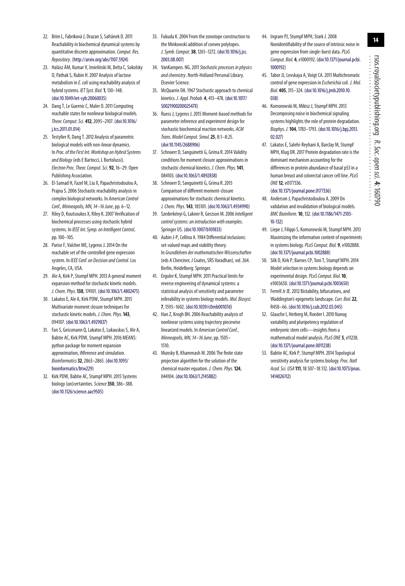- <span id="page-13-0"></span>22. Brim L, Fabriková J, Drazan S, Safránek D. 2011 Reachability in biochemical dynamical systems by quantitative discrete approximation. Comput. Res. Repository. [\(http://arxiv.org/abs/1107.5924\)](http://arxiv.org/abs/1107.5924)
- 23. Halász ÁM, Kumar V, Imieliński M, Belta C, Sokolsky O, Pathak S, Rubin H. 2007 Analysis of lactose metabolism in E. coli using reachability analysis of hybrid systems. IET Syst. Biol.**1**, 130–148. [\(doi:10.1049/iet-syb:20060035\)](http://dx.doi.org/doi:10.1049/iet-syb:20060035)
- <span id="page-13-1"></span>24. Dang T, Le Guernic C, Maler O. 2011 Computing reachable states for nonlinear biological models. Theor. Comput. Sci. **412**, 2095–2107. [\(doi:10.1016/](http://dx.doi.org/doi:10.1016/j.tcs.2011.01.014) [j.tcs.2011.01.014\)](http://dx.doi.org/doi:10.1016/j.tcs.2011.01.014)
- <span id="page-13-2"></span>25. Testylier R, Dang T. 2012 Analysis of parametric biological models with non-linear dynamics. In Proc. of the First Int. Workshop on Hybrid Systems and Biology (eds E Bartocci, L Bortolussi). Electron Proc. Theor. Comput. Sci. **92**, 16–29. Open Publishing Association.
- <span id="page-13-3"></span>26. El-Samad H, Fazel M, Liu X, Papachristodoulou A, Prajna S. 2006 Stochastic reachability analysis in complex biological networks. In American Control Conf., Minneapolis, MN, 14–16 June, pp. 6–12.
- <span id="page-13-4"></span>27. Riley D, Koutsoukos X, Riley K. 2007 Verification of biochemical processes using stochastic hybrid systems. In IEEE Int. Symp. on Intelligent Control, pp. 100–105.
- <span id="page-13-5"></span>28. Parise F, Valcher ME, Lygeros J. 2014 On the reachable set of the controlled gene expression system. In IEEE Conf. on Decision and Control. Los Angeles, CA, USA.
- <span id="page-13-6"></span>29. Ale A, Kirk P, Stumpf MPH. 2013 A general moment expansion method for stochastic kinetic models. J. Chem. Phys.**138**, 174101. [\(doi:10.1063/1.4802475\)](http://dx.doi.org/doi:10.1063/1.4802475)
- <span id="page-13-12"></span>30. Lakatos E, Ale A, Kirk PDW, Stumpf MPH. 2015 Multivariate moment closure techniques for stochastic kinetic models. J. Chem. Phys.**143**, 094107. [\(doi:10.1063/1.4929837\)](http://dx.doi.org/doi:10.1063/1.4929837)
- <span id="page-13-7"></span>31. Fan S, Geissmann Q, Lakatos E, Lukauskas S, Ale A, Babtie AC, Kirk PDW, Stumpf MPH. 2016 MEANS: python package for moment expansion approximation, iNference and simulation. Bioinformatics**32**, 2863–2865. [\(doi:10.1093/](http://dx.doi.org/doi:10.1093/bioinformatics/btw229) [bioinformatics/btw229\)](http://dx.doi.org/doi:10.1093/bioinformatics/btw229)
- <span id="page-13-8"></span>32. Kirk PDW, Babtie AC, Stumpf MPH. 2015 Systems biology (un)certainties. Science 350, 386-388. [\(doi:10.1126/science.aac9505\)](http://dx.doi.org/doi:10.1126/science.aac9505)
- <span id="page-13-9"></span>33. Fukuda K. 2004 From the zonotope construction to the Minkowski addition of convex polytopes. J. Symb. Comput.**38**, 1261–1272. [\(doi:10.1016/j.jsc.](http://dx.doi.org/doi:10.1016/j.jsc.2003.08.007) [2003.08.007\)](http://dx.doi.org/doi:10.1016/j.jsc.2003.08.007)
- <span id="page-13-10"></span>34. VanKampen. NG. 2011 Stochastic processes in physics and chemistry. North-Holland Personal Library. Elsevier Science.
- <span id="page-13-11"></span>35. McQuarrie DA. 1967 Stochastic approach to chemical kinetics. J. Appl. Probab. **4**, 413–478. [\(doi:10.1017/](http://dx.doi.org/doi:10.1017/S002190020002547X) [S002190020002547X\)](http://dx.doi.org/doi:10.1017/S002190020002547X)
- <span id="page-13-13"></span>36. Ruess J, Lygeros J. 2015 Moment-based methods for parameter inference and experiment design for stochastic biochemical reaction networks. ACM Trans. Model Comput. Simul.**25**, 8:1–8:25. [\(doi:10.1145/2688906\)](http://dx.doi.org/doi:10.1145/2688906)
- 37. Schnoerr D, Sanguinetti G, Grima R. 2014 Validity conditions for moment closure approximations in stochastic chemical kinetics. J. Chem. Phys.**141**, 084103. [\(doi:10.1063/1.4892838\)](http://dx.doi.org/doi:10.1063/1.4892838)
- <span id="page-13-14"></span>38. Schnoerr D, Sanguinetti G, Grima R. 2015 Comparison of different moment-closure approximations for stochastic chemical kinetics. J. Chem. Phys.**143**, 185101. [\(doi:10.1063/1.4934990\)](http://dx.doi.org/doi:10.1063/1.4934990)
- <span id="page-13-15"></span>39. Szederkényi G, Lakner R, Gerzson M. 2006 Intelligent control systems: an introduction with examples. Springer US. [\(doi:10.1007/b101833\)](http://dx.doi.org/doi:10.1007/b101833)
- <span id="page-13-16"></span>40. Aubin J-P, Cellina A. 1984 Differential inclusions: set-valued maps and viability theory. In Grundlehren der mathematischen Wissenschaften (eds A Cherciner, J Coates, SRS Varadhan), vol. 264. Berlin, Heidelberg: Springer.
- <span id="page-13-17"></span>41. Erguler K, Stumpf MPH. 2011 Practical limits for reverse engineering of dynamical systems: a statistical analysis of sensitivity and parameter inferability in systems biology models. Mol. Biosyst. **7**, 1593–1602. [\(doi:10.1039/c0mb00107d\)](http://dx.doi.org/doi:10.1039/c0mb00107d)
- <span id="page-13-18"></span>42. Han Z, Krogh BH. 2006 Reachability analysis of nonlinear systems using trajectory piecewise linearized models. In American Control Conf., Minneapolis, MN, 14–16 June, pp. 1505– 1510.
- <span id="page-13-19"></span>43. Munsky B, Khammash M. 2006 The finite state projection algorithm for the solution of the chemical master equation. J. Chem. Phys.**124**, 044104. [\(doi:10.1063/1.2145882\)](http://dx.doi.org/doi:10.1063/1.2145882)
- <span id="page-13-20"></span>44. Ingram PJ, Stumpf MPH, Stark J. 2008 Nonidentifiability of the source of intrinsic noise in gene expression from single-burst data. PLoS Comput. Biol. **4**, e1000192. [\(doi:10.1371/journal.pcbi.](http://dx.doi.org/doi:10.1371/journal.pcbi.1000192) [1000192\)](http://dx.doi.org/doi:10.1371/journal.pcbi.1000192)
- <span id="page-13-21"></span>45. Tabor JJ, Levskaya A, Voigt CA. 2011 Multichromatic control of gene expression in Escherichia coli. J. Mol. Biol. **405**, 315–324. [\(doi:10.1016/j.jmb.2010.10.](http://dx.doi.org/doi:10.1016/j.jmb.2010.10.038) [038\)](http://dx.doi.org/doi:10.1016/j.jmb.2010.10.038)
- <span id="page-13-22"></span>46. Komorowski M, Mikisz J, Stumpf MPH. 2013 Decomposing noise in biochemical signaling systems highlights the role of protein degradation. Biophys. J.**104**, 1783–1793. [\(doi:10.1016/j.bpj.2013.](http://dx.doi.org/doi:10.1016/j.bpj.2013.02.027) [02.027\)](http://dx.doi.org/doi:10.1016/j.bpj.2013.02.027)
- <span id="page-13-23"></span>47. Lakatos E, Salehi-Reyhani A, Barclay M, Stumpf MPH, Klug DR. 2017 Protein degradation rate is the dominant mechanism accounting for the differences in protein abundance of basal p53 in a human breast and colorectal cancer cell line. PLoS ONE **12**, e0177336.

#### [\(doi.10.1371/journal.pone.0177336\)](http://dx.doi.org/doi.10.1371/journal.pone.0177336)

- <span id="page-13-24"></span>48. Anderson J, Papachristodoulou A. 2009 On validation and invalidation of biological models. BMC Bioinform.**10**, 132. [\(doi:10.1186/1471-2105-](http://dx.doi.org/doi:10.1186/1471-2105-10-132) [10-132\)](http://dx.doi.org/doi:10.1186/1471-2105-10-132)
- <span id="page-13-25"></span>49. Liepe J, Filippi S, Komorowski M, Stumpf MPH. 2013 Maximizing the information content of experiments in systems biology.PLoS Comput. Biol. **9**, e1002888. [\(doi:10.1371/journal.pcbi.1002888\)](http://dx.doi.org/doi:10.1371/journal.pcbi.1002888)
- <span id="page-13-26"></span>50. Silk D, Kirk P, Barnes CP, Toni T, Stumpf MPH. 2014 Model selection in systems biology depends on experimental design.PLoS Comput. Biol.**10**, e1003650. [\(doi:10.1371/journal.pcbi.1003650\)](http://dx.doi.org/doi:10.1371/journal.pcbi.1003650)
- <span id="page-13-27"></span>51. Ferrell Jr JE. 2012 Bistability, bifurcations, and Waddington's epigenetic landscape. Curr. Biol. 22, R458–66. [\(doi:10.1016/j.cub.2012.03.045\)](http://dx.doi.org/doi:10.1016/j.cub.2012.03.045)
- <span id="page-13-28"></span>52. Glauche I, Herberg M, Roeder I. 2010 Nanog variability and pluripotency regulation of embryonic stem cells—insights from a mathematical model analysis.PLoS ONE **5**, e11238. [\(doi:10.1371/journal.pone.0011238\)](http://dx.doi.org/doi:10.1371/journal.pone.0011238)
- <span id="page-13-29"></span>53. Babtie AC, Kirk P, Stumpf MPH. 2014 Topological sensitivity analysis for systems biology. Proc. Natl Acad. Sci. USA **111**, 18 507–18 512. [\(doi:10.1073/pnas.](http://dx.doi.org/doi:10.1073/pnas.1414026112) [1414026112\)](http://dx.doi.org/doi:10.1073/pnas.1414026112)

................................................

**14**